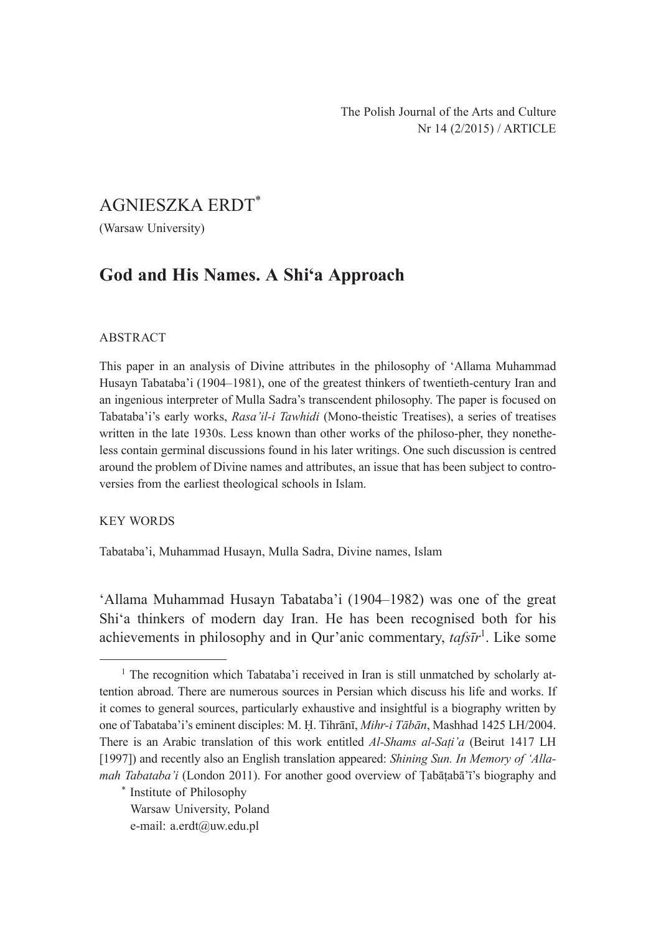# AGNIESZKA ERDT\*

(Warsaw University)

## **God and His Names. A Shi'a Approach**

### ABSTRACT

This paper in an analysis of Divine attributes in the philosophy of 'Allama Muhammad Husayn Tabataba'i (1904–1981), one of the greatest thinkers of twentieth-century Iran and an ingenious interpreter of Mulla Sadra's transcendent philosophy. The paper is focused on Tabataba'i's early works, *Rasa'il-i Tawhidi* (Mono-theistic Treatises), a series of treatises written in the late 1930s. Less known than other works of the philoso-pher, they nonetheless contain germinal discussions found in his later writings. One such discussion is centred around the problem of Divine names and attributes, an issue that has been subject to controversies from the earliest theological schools in Islam.

### KEY WORDS

Tabataba'i, Muhammad Husayn, Mulla Sadra, Divine names, Islam

'Allama Muhammad Husayn Tabataba'i (1904–1982) was one of the great Shi'a thinkers of modern day Iran. He has been recognised both for his achievements in philosophy and in Qur'anic commentary, *tafsīr*<sup>1</sup>. Like some

<sup>&</sup>lt;sup>1</sup> The recognition which Tabataba'i received in Iran is still unmatched by scholarly attention abroad. There are numerous sources in Persian which discuss his life and works. If it comes to general sources, particularly exhaustive and insightful is a biography written by one of Tabataba'i's eminent disciples: M. Ḥ. Tihrānī, *Mihr-i Tābān*, Mashhad 1425 LH/2004. There is an Arabic translation of this work entitled *Al-Shams al-Saṭi'a* (Beirut 1417 LH [1997]) and recently also an English translation appeared: *Shining Sun. In Memory of 'Allamah Tabataba'i* (London 2011). For another good overview of Tabātabā'ī's biography and

<sup>\*</sup> Institute of Philosophy

Warsaw University, Poland

e-mail: a.erdt@uw.edu.pl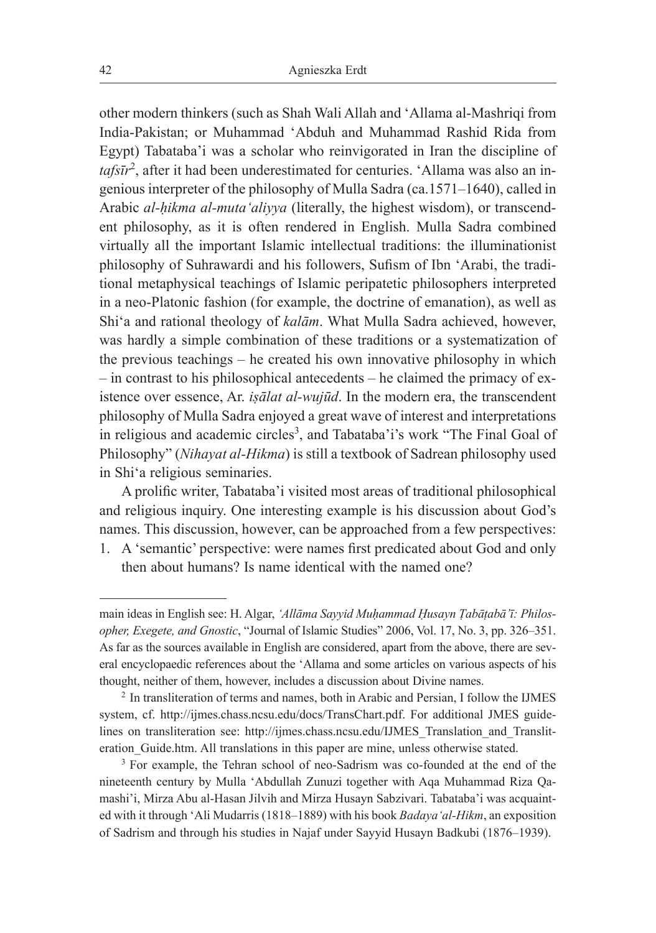other modern thinkers (such as Shah Wali Allah and 'Allama al-Mashriqi from India-Pakistan; or Muhammad 'Abduh and Muhammad Rashid Rida from Egypt) Tabataba'i was a scholar who reinvigorated in Iran the discipline of *tafsīr*<sup>2</sup> , after it had been underestimated for centuries. 'Allama was also an ingenious interpreter of the philosophy of Mulla Sadra (ca.1571–1640), called in Arabic *al-ḥikma al-muta'aliyya* (literally, the highest wisdom), or transcendent philosophy, as it is often rendered in English. Mulla Sadra combined virtually all the important Islamic intellectual traditions: the illuminationist philosophy of Suhrawardi and his followers, Sufism of Ibn 'Arabi, the traditional metaphysical teachings of Islamic peripatetic philosophers interpreted in a neo-Platonic fashion (for example, the doctrine of emanation), as well as Shi'a and rational theology of *kalām*. What Mulla Sadra achieved, however, was hardly a simple combination of these traditions or a systematization of the previous teachings – he created his own innovative philosophy in which – in contrast to his philosophical antecedents – he claimed the primacy of existence over essence, Ar. *iṣālat al-wujūd*. In the modern era, the transcendent philosophy of Mulla Sadra enjoyed a great wave of interest and interpretations in religious and academic circles<sup>3</sup>, and Tabataba'i's work "The Final Goal of Philosophy" (*Nihayat al-Hikma*) is still a textbook of Sadrean philosophy used in Shi'a religious seminaries.

A prolific writer, Tabataba'i visited most areas of traditional philosophical and religious inquiry. One interesting example is his discussion about God's names. This discussion, however, can be approached from a few perspectives:

1. A 'semantic' perspective: were names first predicated about God and only then about humans? Is name identical with the named one?

main ideas in English see: H. Algar, *'Allāma Sayyid Muḥammad Ḥusayn Ṭabāṭabā'ī: Philosopher, Exegete, and Gnostic*, "Journal of Islamic Studies" 2006, Vol. 17, No. 3, pp. 326–351. As far as the sources available in English are considered, apart from the above, there are several encyclopaedic references about the 'Allama and some articles on various aspects of his thought, neither of them, however, includes a discussion about Divine names.<br><sup>2</sup> In transliteration of terms and names, both in Arabic and Persian, I follow the IJMES

system, cf. http://ijmes.chass.ncsu.edu/docs/TransChart.pdf. For additional JMES guidelines on transliteration see: http://ijmes.chass.ncsu.edu/IJMES\_Translation\_and\_Transliteration\_Guide.htm. All translations in this paper are mine, unless otherwise stated.

<sup>&</sup>lt;sup>3</sup> For example, the Tehran school of neo-Sadrism was co-founded at the end of the nineteenth century by Mulla 'Abdullah Zunuzi together with Aqa Muhammad Riza Qamashi'i, Mirza Abu al-Hasan Jilvih and Mirza Husayn Sabzivari. Tabataba'i was acquainted with it through 'Ali Mudarris (1818–1889) with his book *Badaya'al-Hikm*, an exposition of Sadrism and through his studies in Najaf under Sayyid Husayn Badkubi (1876–1939).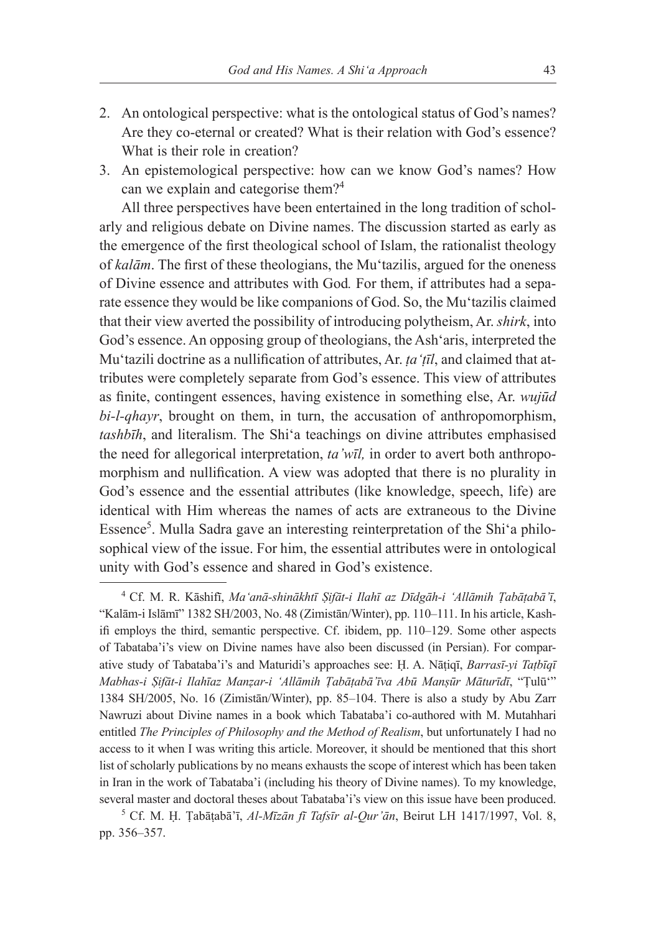- 2. An ontological perspective: what is the ontological status of God's names? Are they co-eternal or created? What is their relation with God's essence? What is their role in creation?
- 3. An epistemological perspective: how can we know God's names? How can we explain and categorise them?<sup>4</sup>

All three perspectives have been entertained in the long tradition of scholarly and religious debate on Divine names. The discussion started as early as the emergence of the first theological school of Islam, the rationalist theology of *kalām*. The first of these theologians, the Mu'tazilis, argued for the oneness of Divine essence and attributes with God*.* For them, if attributes had a separate essence they would be like companions of God. So, the Mu'tazilis claimed that their view averted the possibility of introducing polytheism, Ar. *shirk*, into God's essence. An opposing group of theologians, the Ash'aris, interpreted the Mu'tazili doctrine as a nullification of attributes, Ar. *ṭa'ṭīl*, and claimed that attributes were completely separate from God's essence. This view of attributes as finite, contingent essences, having existence in something else, Ar. *wujūd bi-l-qhayr*, brought on them, in turn, the accusation of anthropomorphism, *tashbīh*, and literalism. The Shi'a teachings on divine attributes emphasised the need for allegorical interpretation, *ta'wīl,* in order to avert both anthropomorphism and nullification. A view was adopted that there is no plurality in God's essence and the essential attributes (like knowledge, speech, life) are identical with Him whereas the names of acts are extraneous to the Divine Essence<sup>5</sup>. Mulla Sadra gave an interesting reinterpretation of the Shi'a philosophical view of the issue. For him, the essential attributes were in ontological unity with God's essence and shared in God's existence.

<sup>4</sup> Cf. M. R. Kāshifī, *Ma'anā-shinākhtī Ṣifāt-i Ilahī az Dīdgāh-i 'Allāmih Ṭabāṭabā'ī*, "Kalām-i Islāmī" 1382 SH/2003, No. 48 (Zimistān/Winter), pp. 110–111. In his article, Kashifi employs the third, semantic perspective. Cf. ibidem, pp. 110–129. Some other aspects of Tabataba'i's view on Divine names have also been discussed (in Persian). For comparative study of Tabataba'i's and Maturidi's approaches see: Ḥ. A. Nāṭiqī, *Barrasī-yi Taṭbīqī Mabhas-i Ṣifāt-i Ilahīaz Manẓar-i 'Allāmih Ṭabāṭabā'īva Abū Manṣūr Māturīdī*, "Ṭulū'" 1384 SH/2005, No. 16 (Zimistān/Winter), pp. 85–104. There is also a study by Abu Zarr Nawruzi about Divine names in a book which Tabataba'i co-authored with M. Mutahhari entitled *The Principles of Philosophy and the Method of Realism*, but unfortunately I had no access to it when I was writing this article. Moreover, it should be mentioned that this short list of scholarly publications by no means exhausts the scope of interest which has been taken in Iran in the work of Tabataba'i (including his theory of Divine names). To my knowledge, several master and doctoral theses about Tabataba'i's view on this issue have been produced.

<sup>5</sup> Cf. M. Ḥ. Ṭabāṭabā'ī, *Al-Mīzān fī Tafsīr al-Qur'ān*, Beirut LH 1417/1997, Vol. 8, pp. 356–357.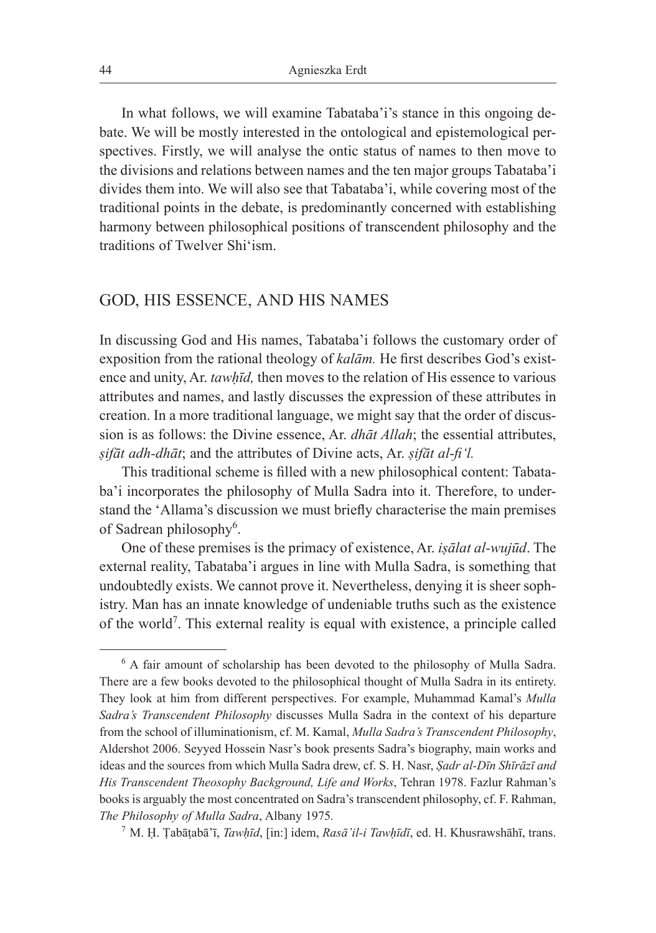In what follows, we will examine Tabataba'i's stance in this ongoing debate. We will be mostly interested in the ontological and epistemological perspectives. Firstly, we will analyse the ontic status of names to then move to the divisions and relations between names and the ten major groups Tabataba'i divides them into. We will also see that Tabataba'i, while covering most of the traditional points in the debate, is predominantly concerned with establishing harmony between philosophical positions of transcendent philosophy and the traditions of Twelver Shi'ism.

### GOD, HIS ESSENCE, AND HIS NAMES

In discussing God and His names, Tabataba'i follows the customary order of exposition from the rational theology of *kalām.* He first describes God's existence and unity, Ar. *tawhīd*, then moves to the relation of His essence to various attributes and names, and lastly discusses the expression of these attributes in creation. In a more traditional language, we might say that the order of discussion is as follows: the Divine essence, Ar. *dhāt Allah*; the essential attributes, *ṣifāt adh-dhāt*; and the attributes of Divine acts, Ar. *ṣifāt al*-*fi'l.* 

This traditional scheme is filled with a new philosophical content: Tabataba'i incorporates the philosophy of Mulla Sadra into it. Therefore, to understand the 'Allama's discussion we must briefly characterise the main premises of Sadrean philosophy<sup>6</sup>.

One of these premises is the primacy of existence, Ar. *iṣālat al-wujūd*. The external reality, Tabataba'i argues in line with Mulla Sadra, is something that undoubtedly exists. We cannot prove it. Nevertheless, denying it is sheer sophistry. Man has an innate knowledge of undeniable truths such as the existence of the world<sup>7</sup>. This external reality is equal with existence, a principle called

<sup>&</sup>lt;sup>6</sup> A fair amount of scholarship has been devoted to the philosophy of Mulla Sadra. There are a few books devoted to the philosophical thought of Mulla Sadra in its entirety. They look at him from different perspectives. For example, Muhammad Kamal's *Mulla Sadra's Transcendent Philosophy* discusses Mulla Sadra in the context of his departure from the school of illuminationism, cf. M. Kamal, *Mulla Sadra's Transcendent Philosophy*, Aldershot 2006. Seyyed Hossein Nasr's book presents Sadra's biography, main works and ideas and the sources from which Mulla Sadra drew, cf. S. H. Nasr, *Ṣadr al-Dīn Shīrāzī and His Transcendent Theosophy Background, Life and Works*, Tehran 1978. Fazlur Rahman's books is arguably the most concentrated on Sadra's transcendent philosophy, cf. F. Rahman, *The Philosophy of Mulla Sadra*, Albany 1975*.*

<sup>7</sup> M. Ḥ. Ṭabāṭabā'ī, *Tawḥīd*, [in:] idem, *Rasā'il-i Tawḥīdī*, ed. H. Khusrawshāhī, trans.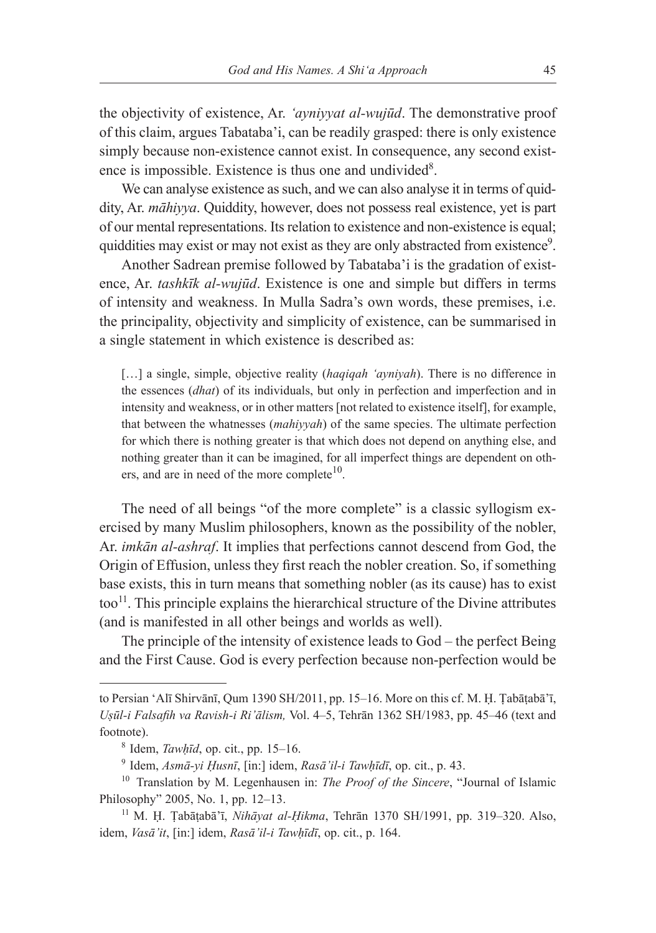the objectivity of existence, Ar. *'ayniyyat al-wujūd*. The demonstrative proof of this claim, argues Tabataba'i, can be readily grasped: there is only existence simply because non-existence cannot exist. In consequence, any second existence is impossible. Existence is thus one and undivided<sup>8</sup>.

We can analyse existence as such, and we can also analyse it in terms of quiddity, Ar. *māhiyya*. Quiddity, however, does not possess real existence, yet is part of our mental representations. Its relation to existence and non-existence is equal; quiddities may exist or may not exist as they are only abstracted from existence<sup>9</sup>.

Another Sadrean premise followed by Tabataba'i is the gradation of existence, Ar. *tashkīk al-wujūd*. Existence is one and simple but differs in terms of intensity and weakness. In Mulla Sadra's own words, these premises, i.e. the principality, objectivity and simplicity of existence, can be summarised in a single statement in which existence is described as:

[...] a single, simple, objective reality (*haqiqah 'ayniyah*). There is no difference in the essences (*dhat*) of its individuals, but only in perfection and imperfection and in intensity and weakness, or in other matters [not related to existence itself], for example, that between the whatnesses (*mahiyyah*) of the same species. The ultimate perfection for which there is nothing greater is that which does not depend on anything else, and nothing greater than it can be imagined, for all imperfect things are dependent on others, and are in need of the more complete $10$ .

The need of all beings "of the more complete" is a classic syllogism exercised by many Muslim philosophers, known as the possibility of the nobler, Ar. *imkān al-ashraf*. It implies that perfections cannot descend from God, the Origin of Effusion, unless they first reach the nobler creation. So, if something base exists, this in turn means that something nobler (as its cause) has to exist  $\text{too}^{11}$ . This principle explains the hierarchical structure of the Divine attributes (and is manifested in all other beings and worlds as well).

The principle of the intensity of existence leads to God – the perfect Being and the First Cause. God is every perfection because non-perfection would be

to Persian 'Alī Shirvānī, Qum 1390 SH/2011, pp. 15–16. More on this cf. M. Ḥ. Ṭabāṭabā'ī, *Uṣūl-i Falsafih va Ravish-i Ri'ālism,* Vol. 4–5, Tehrān 1362 SH/1983, pp. 45–46 (text and footnote). 8 Idem, *Tawḥīd*, op. cit., pp. 15–16.

<sup>9</sup> Idem, *Asmā-yi Ḥusnī*, [in:] idem, *Rasā'il-i Tawḥīdī*, op. cit., p. 43. 10 Translation by M. Legenhausen in: *The Proof of the Sincere*, "Journal of Islamic Philosophy" 2005, No. 1, pp. 12–13.

<sup>11</sup> M. Ḥ. Ṭabāṭabā'ī, *Nihāyat al-Ḥikma*, Tehrān 1370 SH/1991, pp. 319–320. Also, idem, *Vasā'it*, [in:] idem, *Rasā'il-i Tawhīdī*, op. cit., p. 164.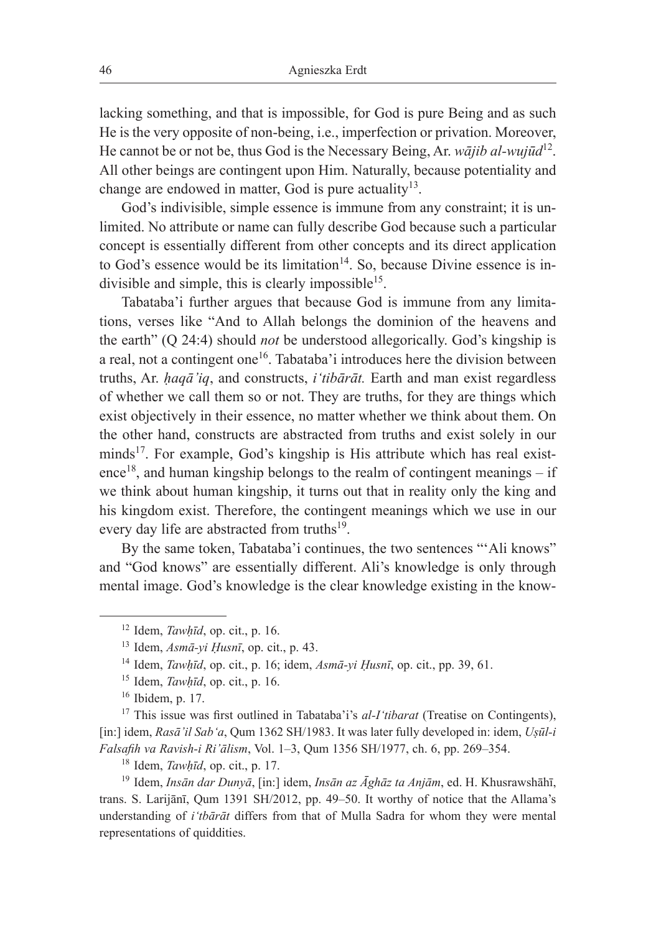lacking something, and that is impossible, for God is pure Being and as such He is the very opposite of non-being, i.e., imperfection or privation. Moreover, He cannot be or not be, thus God is the Necessary Being, Ar. *wājib al-wujūd*12. All other beings are contingent upon Him. Naturally, because potentiality and change are endowed in matter, God is pure actuality<sup>13</sup>.

God's indivisible, simple essence is immune from any constraint; it is unlimited. No attribute or name can fully describe God because such a particular concept is essentially different from other concepts and its direct application to God's essence would be its limitation $14$ . So, because Divine essence is indivisible and simple, this is clearly impossible<sup>15</sup>.

Tabataba'i further argues that because God is immune from any limitations, verses like "And to Allah belongs the dominion of the heavens and the earth" (Q 24:4) should *not* be understood allegorically. God's kingship is a real, not a contingent one<sup>16</sup>. Tabataba'i introduces here the division between truths, Ar. *ḥaqā'iq*, and constructs, *i'tibārāt.* Earth and man exist regardless of whether we call them so or not. They are truths, for they are things which exist objectively in their essence, no matter whether we think about them. On the other hand, constructs are abstracted from truths and exist solely in our minds<sup>17</sup>. For example, God's kingship is His attribute which has real existence<sup>18</sup>, and human kingship belongs to the realm of contingent meanings – if we think about human kingship, it turns out that in reality only the king and his kingdom exist. Therefore, the contingent meanings which we use in our every day life are abstracted from truths<sup>19</sup>.

By the same token, Tabataba'i continues, the two sentences "'Ali knows" and "God knows" are essentially different. Ali's knowledge is only through mental image. God's knowledge is the clear knowledge existing in the know-

<sup>17</sup> This issue was first outlined in Tabataba'i's *al-I'tibarat* (Treatise on Contingents), [in:] idem, *Rasā'il Sab'a*, Qum 1362 SH/1983. It was later fully developed in: idem, *Uṣūl-i Falsafih va Ravish-i Ri'ālism*, Vol. 1–3, Qum 1356 SH/1977, ch. 6, pp. 269–354.

<sup>19</sup> Idem, *Insān dar Dunyā*, [in:] idem, *Insān az Āghāz ta Anjām*, ed. H. Khusrawshāhī, trans. S. Larijānī, Qum 1391 SH/2012, pp. 49–50. It worthy of notice that the Allama's understanding of *i'tbārāt* differs from that of Mulla Sadra for whom they were mental representations of quiddities.

<sup>&</sup>lt;sup>12</sup> Idem, *Tawḥīd*, op. cit., p. 16. <sup>13</sup> Idem,  $Asm\bar{a}-yi Husn\bar{i}$ , op. cit., p. 43.

<sup>14</sup> Idem, *Tawḥīd*, op. cit., p. 16; idem, *Asmā-yi Ḥusnī*, op. cit., pp. 39, 61.

 $15$  Idem, *Tawhīd*, op. cit., p. 16.

 $16$  Ibidem, p. 17.

<sup>18</sup> Idem, *Tawḥīd*, op. cit., p. 17.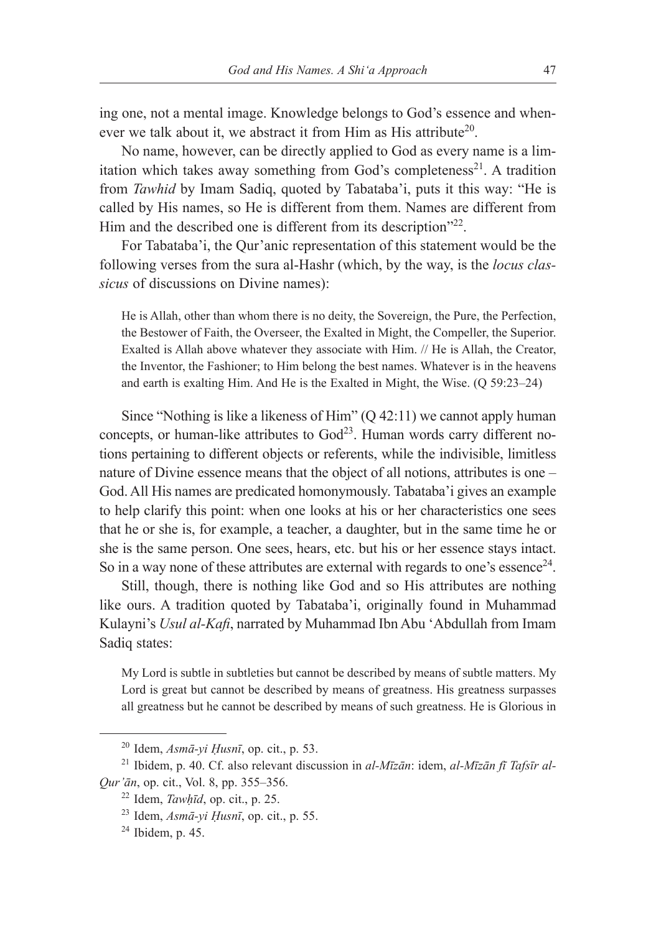ing one, not a mental image. Knowledge belongs to God's essence and whenever we talk about it, we abstract it from Him as His attribute<sup>20</sup>.

No name, however, can be directly applied to God as every name is a limitation which takes away something from God's completeness<sup>21</sup>. A tradition from *Tawhid* by Imam Sadiq, quoted by Tabataba'i, puts it this way: "He is called by His names, so He is different from them. Names are different from Him and the described one is different from its description"<sup>22</sup>.

For Tabataba'i, the Qur'anic representation of this statement would be the following verses from the sura al-Hashr (which, by the way, is the *locus classicus* of discussions on Divine names):

He is Allah, other than whom there is no deity, the Sovereign, the Pure, the Perfection, the Bestower of Faith, the Overseer, the Exalted in Might, the Compeller, the Superior. Exalted is Allah above whatever they associate with Him. // He is Allah, the Creator, the Inventor, the Fashioner; to Him belong the best names. Whatever is in the heavens and earth is exalting Him. And He is the Exalted in Might, the Wise. (Q 59:23–24)

Since "Nothing is like a likeness of Him" (Q 42:11) we cannot apply human concepts, or human-like attributes to  $God<sup>23</sup>$ . Human words carry different notions pertaining to different objects or referents, while the indivisible, limitless nature of Divine essence means that the object of all notions, attributes is one – God. All His names are predicated homonymously. Tabataba'i gives an example to help clarify this point: when one looks at his or her characteristics one sees that he or she is, for example, a teacher, a daughter, but in the same time he or she is the same person. One sees, hears, etc. but his or her essence stays intact. So in a way none of these attributes are external with regards to one's essence<sup>24</sup>.

Still, though, there is nothing like God and so His attributes are nothing like ours. A tradition quoted by Tabataba'i, originally found in Muhammad Kulayni's *Usul al-Kafi*, narrated by Muhammad Ibn Abu 'Abdullah from Imam Sadiq states:

My Lord is subtle in subtleties but cannot be described by means of subtle matters. My Lord is great but cannot be described by means of greatness. His greatness surpasses all greatness but he cannot be described by means of such greatness. He is Glorious in

 $^{20}$  Idem, *Asmā-yi Husnī*, op. cit., p. 53.

<sup>21</sup> Ibidem, p. 40. Cf. also relevant discussion in *al-Mīzān*: idem, *al-Mīzān fī Tafsīr al-Qur'ān*, op. cit., Vol. 8, pp. 355–356.

<sup>22</sup> Idem, *Tawḥīd*, op. cit., p. 25.

<sup>23</sup> Idem, *Asmā-yi Ḥusnī*, op. cit., p. 55. 24 Ibidem, p. 45.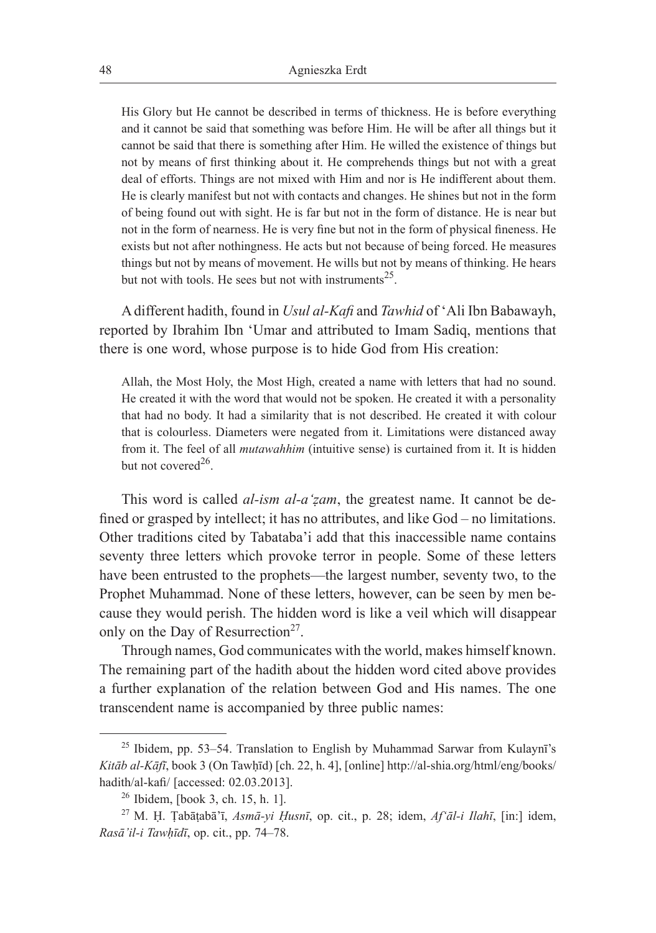His Glory but He cannot be described in terms of thickness. He is before everything and it cannot be said that something was before Him. He will be after all things but it cannot be said that there is something after Him. He willed the existence of things but not by means of first thinking about it. He comprehends things but not with a great deal of efforts. Things are not mixed with Him and nor is He indifferent about them. He is clearly manifest but not with contacts and changes. He shines but not in the form of being found out with sight. He is far but not in the form of distance. He is near but not in the form of nearness. He is very fine but not in the form of physical fineness. He exists but not after nothingness. He acts but not because of being forced. He measures things but not by means of movement. He wills but not by means of thinking. He hears but not with tools. He sees but not with instruments<sup>25</sup>.

A different hadith, found in *Usul al-Kafi* and *Tawhid* of 'Ali Ibn Babawayh, reported by Ibrahim Ibn 'Umar and attributed to Imam Sadiq, mentions that there is one word, whose purpose is to hide God from His creation:

Allah, the Most Holy, the Most High, created a name with letters that had no sound. He created it with the word that would not be spoken. He created it with a personality that had no body. It had a similarity that is not described. He created it with colour that is colourless. Diameters were negated from it. Limitations were distanced away from it. The feel of all *mutawahhim* (intuitive sense) is curtained from it. It is hidden but not covered<sup>26</sup>.

This word is called *al-ism al-a'ẓam*, the greatest name. It cannot be defined or grasped by intellect; it has no attributes, and like God – no limitations. Other traditions cited by Tabataba'i add that this inaccessible name contains seventy three letters which provoke terror in people. Some of these letters have been entrusted to the prophets—the largest number, seventy two, to the Prophet Muhammad. None of these letters, however, can be seen by men because they would perish. The hidden word is like a veil which will disappear only on the Day of Resurrection<sup>27</sup>.

Through names, God communicates with the world, makes himself known. The remaining part of the hadith about the hidden word cited above provides a further explanation of the relation between God and His names. The one transcendent name is accompanied by three public names:

 $25$  Ibidem, pp. 53–54. Translation to English by Muhammad Sarwar from Kulaynī's *Kitāb al-Kāfī*, book 3 (On Tawḥīd) [ch. 22, h. 4], [online] http://al-shia.org/html/eng/books/ hadith/al-kafi/ [accessed: 02.03.2013].

<sup>26</sup> Ibidem, [book 3, ch. 15, h. 1].

<sup>27</sup> M. Ḥ. Ṭabāṭabā'ī, *Asmā-yi Ḥusnī*, op. cit., p. 28; idem, *Af'āl-i Ilahī*, [in:] idem, *Rasā'il-i Tawḥīdī*, op. cit., pp. 74–78.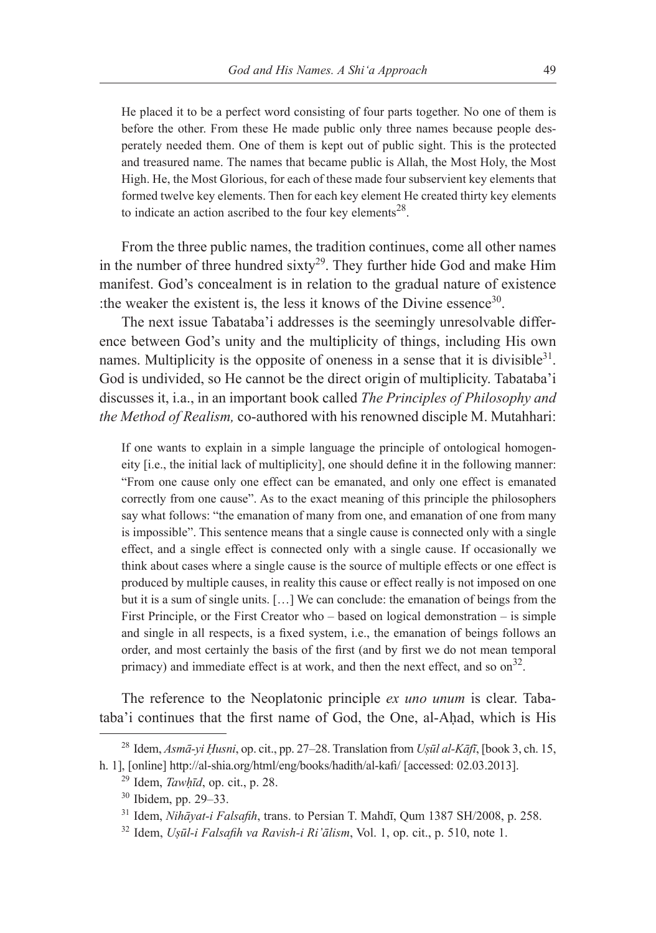He placed it to be a perfect word consisting of four parts together. No one of them is before the other. From these He made public only three names because people desperately needed them. One of them is kept out of public sight. This is the protected and treasured name. The names that became public is Allah, the Most Holy, the Most High. He, the Most Glorious, for each of these made four subservient key elements that formed twelve key elements. Then for each key element He created thirty key elements to indicate an action ascribed to the four key elements $^{28}$ .

From the three public names, the tradition continues, come all other names in the number of three hundred sixty<sup>29</sup>. They further hide God and make Him manifest. God's concealment is in relation to the gradual nature of existence :the weaker the existent is, the less it knows of the Divine essence<sup>30</sup>.

The next issue Tabataba'i addresses is the seemingly unresolvable difference between God's unity and the multiplicity of things, including His own names. Multiplicity is the opposite of oneness in a sense that it is divisible  $3^1$ . God is undivided, so He cannot be the direct origin of multiplicity. Tabataba'i discusses it, i.a., in an important book called *The Principles of Philosophy and the Method of Realism,* co-authored with his renowned disciple M. Mutahhari:

If one wants to explain in a simple language the principle of ontological homogeneity [i.e., the initial lack of multiplicity], one should define it in the following manner: "From one cause only one effect can be emanated, and only one effect is emanated correctly from one cause". As to the exact meaning of this principle the philosophers say what follows: "the emanation of many from one, and emanation of one from many is impossible". This sentence means that a single cause is connected only with a single effect, and a single effect is connected only with a single cause. If occasionally we think about cases where a single cause is the source of multiple effects or one effect is produced by multiple causes, in reality this cause or effect really is not imposed on one but it is a sum of single units. […] We can conclude: the emanation of beings from the First Principle, or the First Creator who – based on logical demonstration – is simple and single in all respects, is a fixed system, i.e., the emanation of beings follows an order, and most certainly the basis of the first (and by first we do not mean temporal primacy) and immediate effect is at work, and then the next effect, and so  $\text{on}^{32}$ .

The reference to the Neoplatonic principle *ex uno unum* is clear. Tabataba'i continues that the first name of God, the One, al-Ahad, which is His

<sup>28</sup> Idem, *Asmā-yi Ḥusni*, op. cit., pp. 27–28. Translation from *Uṣūl al-Kāfī*, [book 3, ch. 15, h. 1], [online] http://al-shia.org/html/eng/books/hadith/al-kafi/ [accessed: 02.03.2013].

<sup>29</sup> Idem, *Tawḥīd*, op. cit., p. 28.

<sup>30</sup> Ibidem, pp. 29–33.

<sup>31</sup> Idem, *Nihāyat-i Falsafih*, trans. to Persian T. Mahdī, Qum 1387 SH/2008, p. 258.

<sup>32</sup> Idem, *Uṣūl-i Falsafih va Ravish-i Ri'ālism*, Vol. 1, op. cit., p. 510, note 1.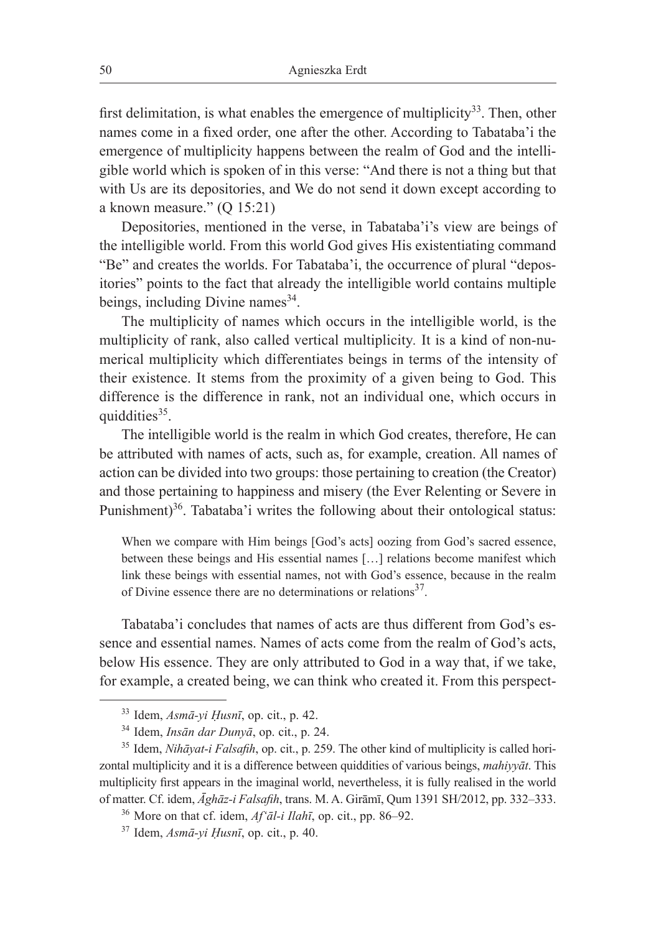first delimitation, is what enables the emergence of multiplicity<sup>33</sup>. Then, other names come in a fixed order, one after the other. According to Tabataba'i the emergence of multiplicity happens between the realm of God and the intelligible world which is spoken of in this verse: "And there is not a thing but that with Us are its depositories, and We do not send it down except according to a known measure." (Q 15:21)

Depositories, mentioned in the verse, in Tabataba'i's view are beings of the intelligible world. From this world God gives His existentiating command "Be" and creates the worlds. For Tabataba'i, the occurrence of plural "depositories" points to the fact that already the intelligible world contains multiple beings, including Divine names  $34$ .

The multiplicity of names which occurs in the intelligible world, is the multiplicity of rank, also called vertical multiplicity*.* It is a kind of non-numerical multiplicity which differentiates beings in terms of the intensity of their existence. It stems from the proximity of a given being to God. This difference is the difference in rank, not an individual one, which occurs in quiddities $35$ .

The intelligible world is the realm in which God creates, therefore, He can be attributed with names of acts, such as, for example, creation. All names of action can be divided into two groups: those pertaining to creation (the Creator) and those pertaining to happiness and misery (the Ever Relenting or Severe in Punishment)<sup>36</sup>. Tabataba'i writes the following about their ontological status:

When we compare with Him beings [God's acts] oozing from God's sacred essence, between these beings and His essential names […] relations become manifest which link these beings with essential names, not with God's essence, because in the realm of Divine essence there are no determinations or relations<sup>37</sup>.

Tabataba'i concludes that names of acts are thus different from God's essence and essential names. Names of acts come from the realm of God's acts, below His essence. They are only attributed to God in a way that, if we take, for example, a created being, we can think who created it. From this perspect-

 $33$  Idem,  $Asm\bar{a}$ -vi Husnī, op. cit., p. 42.

<sup>&</sup>lt;sup>34</sup> Idem, *Insān dar Dunyā*, op. cit., p. 24.<br><sup>35</sup> Idem, *Nihāyat-i Falsafih*, op. cit., p. 259. The other kind of multiplicity is called horizontal multiplicity and it is a difference between quiddities of various beings, *mahiyyāt*. This multiplicity first appears in the imaginal world, nevertheless, it is fully realised in the world of matter. Cf. idem, *Āghāz-i Falsafih*, trans. M. A. Girāmī, Qum 1391 SH/2012, pp. 332–333.

<sup>36</sup> More on that cf. idem, *Af'āl-i Ilahī*, op. cit., pp. 86–92.

<sup>37</sup> Idem, *Asmā-yi Ḥusnī*, op. cit., p. 40.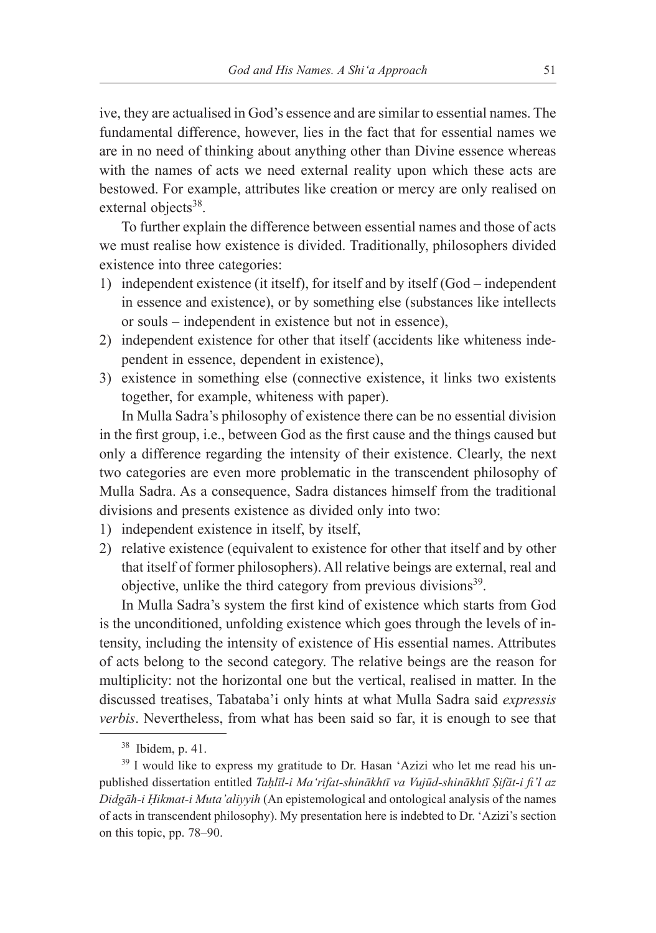ive, they are actualised in God's essence and are similar to essential names. The fundamental difference, however, lies in the fact that for essential names we are in no need of thinking about anything other than Divine essence whereas with the names of acts we need external reality upon which these acts are bestowed. For example, attributes like creation or mercy are only realised on external objects<sup>38</sup>.

To further explain the difference between essential names and those of acts we must realise how existence is divided. Traditionally, philosophers divided existence into three categories:

- 1) independent existence (it itself), for itself and by itself (God independent in essence and existence), or by something else (substances like intellects or souls – independent in existence but not in essence),
- 2) independent existence for other that itself (accidents like whiteness independent in essence, dependent in existence),
- 3) existence in something else (connective existence, it links two existents together, for example, whiteness with paper).

In Mulla Sadra's philosophy of existence there can be no essential division in the first group, i.e., between God as the first cause and the things caused but only a difference regarding the intensity of their existence. Clearly, the next two categories are even more problematic in the transcendent philosophy of Mulla Sadra. As a consequence, Sadra distances himself from the traditional divisions and presents existence as divided only into two:

- 1) independent existence in itself, by itself,
- 2) relative existence (equivalent to existence for other that itself and by other that itself of former philosophers). All relative beings are external, real and objective, unlike the third category from previous divisions<sup>39</sup>.

In Mulla Sadra's system the first kind of existence which starts from God is the unconditioned, unfolding existence which goes through the levels of intensity, including the intensity of existence of His essential names. Attributes of acts belong to the second category. The relative beings are the reason for multiplicity: not the horizontal one but the vertical, realised in matter. In the discussed treatises, Tabataba'i only hints at what Mulla Sadra said *expressis verbis*. Nevertheless, from what has been said so far, it is enough to see that

<sup>38</sup> Ibidem, p. 41.

<sup>&</sup>lt;sup>39</sup> I would like to express my gratitude to Dr. Hasan 'Azizi who let me read his unpublished dissertation entitled *Taḥlīl-i Ma'rifat-shinākhtī va Vujūd-shinākhtī Ṣifāt-i fi'l az Didgāh-i Ḥikmat-i Muta'aliyyih* (An epistemological and ontological analysis of the names of acts in transcendent philosophy). My presentation here is indebted to Dr. 'Azizi's section on this topic, pp. 78–90.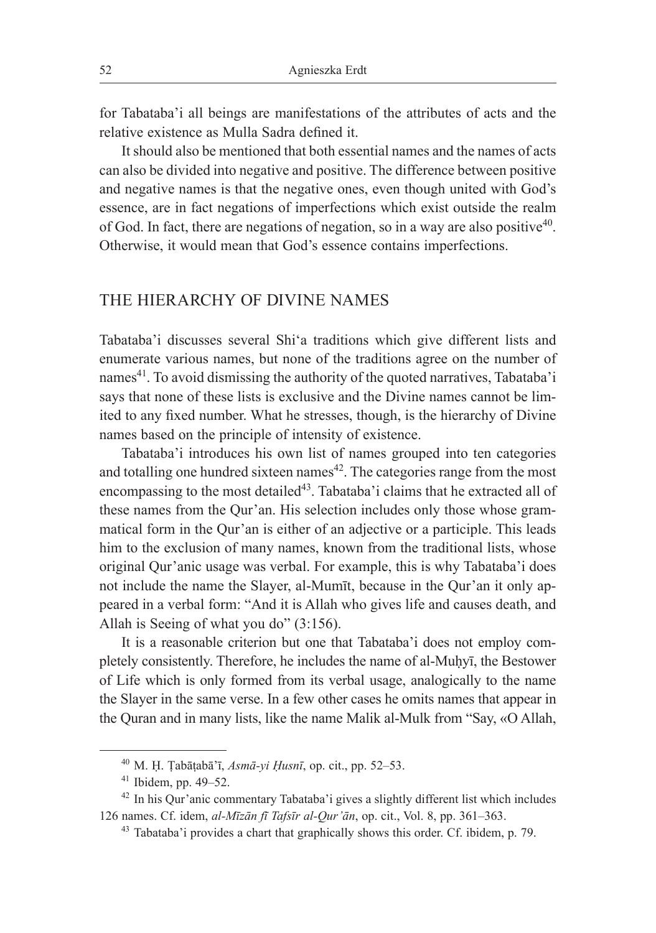for Tabataba'i all beings are manifestations of the attributes of acts and the relative existence as Mulla Sadra defined it.

It should also be mentioned that both essential names and the names of acts can also be divided into negative and positive. The difference between positive and negative names is that the negative ones, even though united with God's essence, are in fact negations of imperfections which exist outside the realm of God. In fact, there are negations of negation, so in a way are also positive<sup>40</sup>. Otherwise, it would mean that God's essence contains imperfections.

### THE HIERARCHY OF DIVINE NAMES

Tabataba'i discusses several Shi'a traditions which give different lists and enumerate various names, but none of the traditions agree on the number of names $^{41}$ . To avoid dismissing the authority of the quoted narratives, Tabataba'i says that none of these lists is exclusive and the Divine names cannot be limited to any fixed number. What he stresses, though, is the hierarchy of Divine names based on the principle of intensity of existence.

Tabataba'i introduces his own list of names grouped into ten categories and totalling one hundred sixteen names<sup>42</sup>. The categories range from the most encompassing to the most detailed<sup>43</sup>. Tabataba'i claims that he extracted all of these names from the Qur'an. His selection includes only those whose grammatical form in the Qur'an is either of an adjective or a participle. This leads him to the exclusion of many names, known from the traditional lists, whose original Qur'anic usage was verbal. For example, this is why Tabataba'i does not include the name the Slayer, al-Mumīt, because in the Qur'an it only appeared in a verbal form: "And it is Allah who gives life and causes death, and Allah is Seeing of what you do" (3:156).

It is a reasonable criterion but one that Tabataba'i does not employ completely consistently. Therefore, he includes the name of al-Muḥyī, the Bestower of Life which is only formed from its verbal usage, analogically to the name the Slayer in the same verse. In a few other cases he omits names that appear in the Quran and in many lists, like the name Malik al-Mulk from "Say, «O Allah,

<sup>40</sup> M. Ḥ. Ṭabāṭabā'ī, *Asmā-yi Ḥusnī*, op. cit., pp. 52–53.

<sup>41</sup> Ibidem, pp. 49–52.

<sup>42</sup> In his Qur'anic commentary Tabataba'i gives a slightly different list which includes 126 names. Cf. idem, *al-Mīzān fī Tafsīr al-Qur'ān*, op. cit., Vol. 8, pp. 361–363.

<sup>43</sup> Tabataba'i provides a chart that graphically shows this order. Cf. ibidem, p. 79.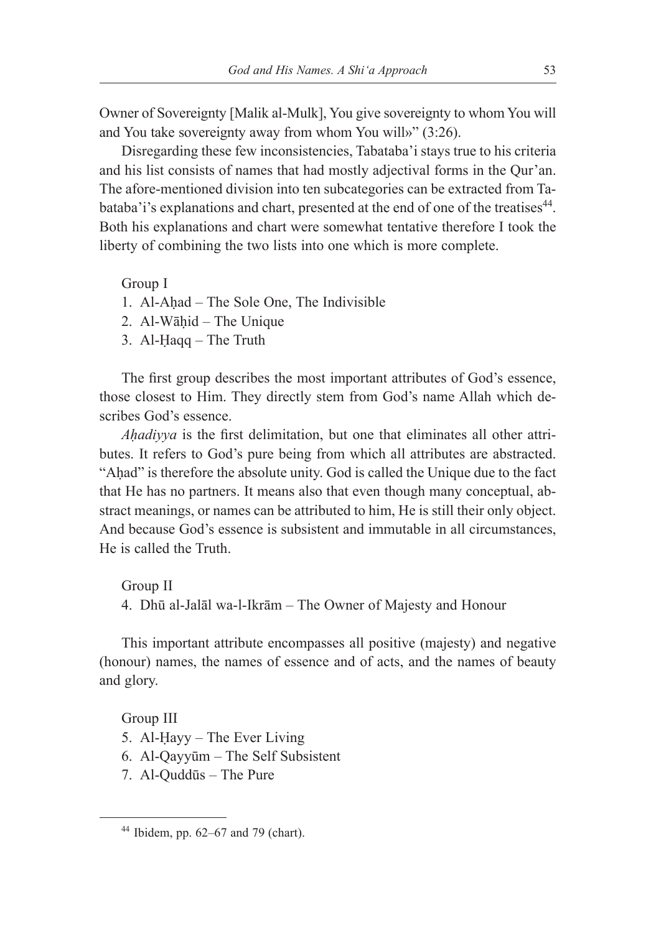Owner of Sovereignty [Malik al-Mulk], You give sovereignty to whom You will and You take sovereignty away from whom You will»" (3:26).

Disregarding these few inconsistencies, Tabataba'i stays true to his criteria and his list consists of names that had mostly adjectival forms in the Qur'an. The afore-mentioned division into ten subcategories can be extracted from Tabataba'i's explanations and chart, presented at the end of one of the treatises<sup>44</sup>. Both his explanations and chart were somewhat tentative therefore I took the liberty of combining the two lists into one which is more complete.

Group I

- 1. Al-Aḥad The Sole One, The Indivisible
- 2. Al-Wāḥid The Unique
- 3. Al-Ḥaqq The Truth

The first group describes the most important attributes of God's essence, those closest to Him. They directly stem from God's name Allah which describes God's essence.

*Ahadiyya* is the first delimitation, but one that eliminates all other attributes. It refers to God's pure being from which all attributes are abstracted. "Aḥad" is therefore the absolute unity. God is called the Unique due to the fact that He has no partners. It means also that even though many conceptual, abstract meanings, or names can be attributed to him, He is still their only object. And because God's essence is subsistent and immutable in all circumstances, He is called the Truth.

Group II 4. Dhū al-Jalāl wa-l-Ikrām – The Owner of Majesty and Honour

This important attribute encompasses all positive (majesty) and negative (honour) names, the names of essence and of acts, and the names of beauty and glory.

Group III

- 5. Al-Ḥayy The Ever Living
- 6. Al-Qayyūm The Self Subsistent
- 7. Al-Quddūs The Pure

 $44$  Ibidem, pp. 62–67 and 79 (chart).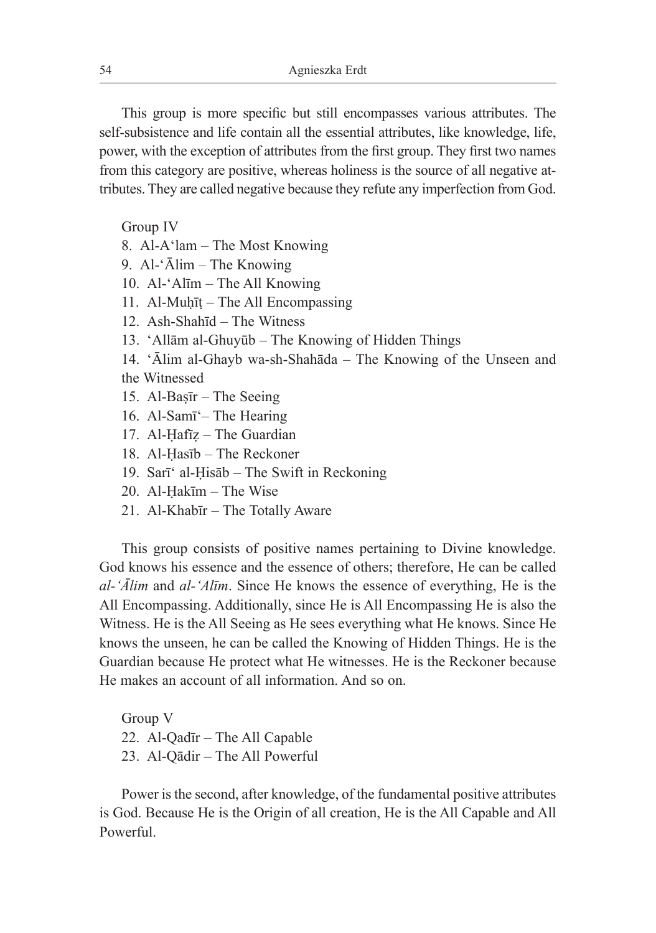This group is more specific but still encompasses various attributes. The self-subsistence and life contain all the essential attributes, like knowledge, life, power, with the exception of attributes from the first group. They first two names from this category are positive, whereas holiness is the source of all negative attributes. They are called negative because they refute any imperfection from God.

Group IV

- 8. Al-A'lam The Most Knowing
- 9. Al-'Ālim The Knowing
- 10. Al-'Alīm The All Knowing
- 11. Al-Muḥīṭ The All Encompassing
- 12. Ash-Shahīd The Witness
- 13. 'Allām al-Ghuyūb The Knowing of Hidden Things
- 14. 'Ālim al-Ghayb wa-sh-Shahāda The Knowing of the Unseen and the Witnessed
- 15. Al-Baṣīr The Seeing
- 16. Al-Samī'– The Hearing
- 17. Al-Ḥafīẓ The Guardian
- 18. Al-Ḥasīb The Reckoner
- 19. Sarī' al-Ḥisāb The Swift in Reckoning
- 20. Al-Ḥakīm The Wise
- 21. Al-Khabīr The Totally Aware

This group consists of positive names pertaining to Divine knowledge. God knows his essence and the essence of others; therefore, He can be called *al-'Ālim* and *al-'Alīm*. Since He knows the essence of everything, He is the All Encompassing. Additionally, since He is All Encompassing He is also the Witness. He is the All Seeing as He sees everything what He knows. Since He knows the unseen, he can be called the Knowing of Hidden Things. He is the Guardian because He protect what He witnesses. He is the Reckoner because He makes an account of all information. And so on.

Group V 22. Al-Qadīr – The All Capable 23. Al-Qādir – The All Powerful

Power is the second, after knowledge, of the fundamental positive attributes is God. Because He is the Origin of all creation, He is the All Capable and All **Powerful**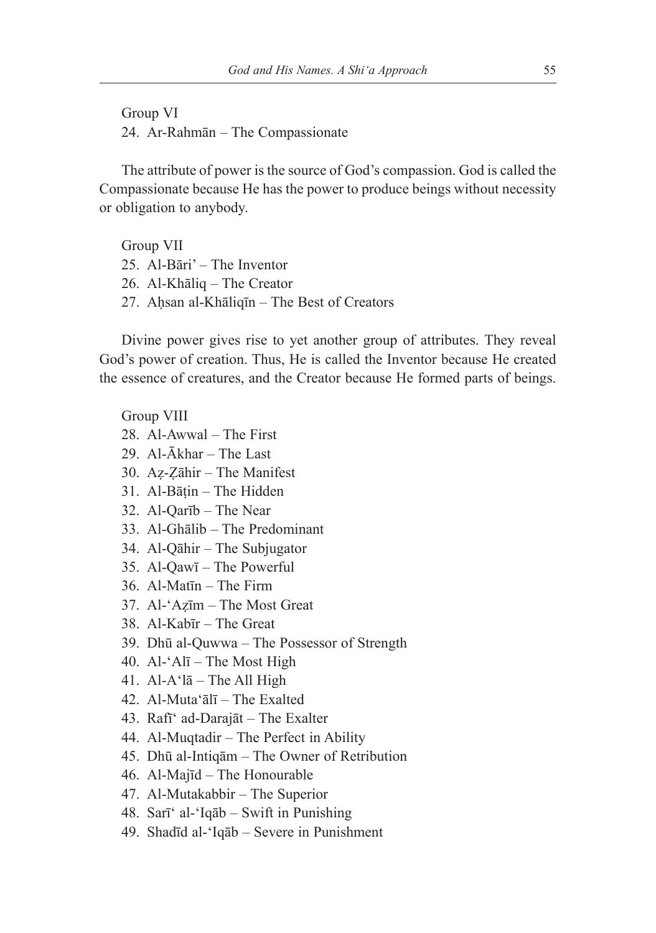Group VI 24. Ar-Rahmān – The Compassionate

The attribute of power is the source of God's compassion. God is called the Compassionate because He has the power to produce beings without necessity or obligation to anybody.

Group VII 25. Al-Bāri' – The Inventor 26. Al-Khāliq – The Creator 27. Aḥsan al-Khāliqīn – The Best of Creators

Divine power gives rise to yet another group of attributes. They reveal God's power of creation. Thus, He is called the Inventor because He created the essence of creatures, and the Creator because He formed parts of beings.

### Group VIII

- 28. Al-Awwal The First
- 29. Al-Ākhar The Last
- 30. Aẓ-Ẓāhir The Manifest
- 31. Al-Bāṭin The Hidden
- 32. Al-Qarīb The Near
- 33. Al-Ghālib The Predominant
- 34. Al-Qāhir The Subjugator
- 35. Al-Qawī The Powerful
- 36. Al-Matīn The Firm
- 37. Al-'Aẓīm The Most Great
- 38. Al-Kabīr The Great
- 39. Dhū al-Quwwa The Possessor of Strength
- 40. Al-'Alī The Most High
- 41. Al-A $i$ lā The All High
- 42. Al-Muta'ālī The Exalted
- 43. Rafī' ad-Darajāt The Exalter
- 44. Al-Muqtadir The Perfect in Ability
- 45. Dhū al-Intiqām The Owner of Retribution
- 46. Al-Majīd The Honourable
- 47. Al-Mutakabbir The Superior
- 48. Sarī' al-'Iqāb Swift in Punishing
- 49. Shadīd al-'Iqāb Severe in Punishment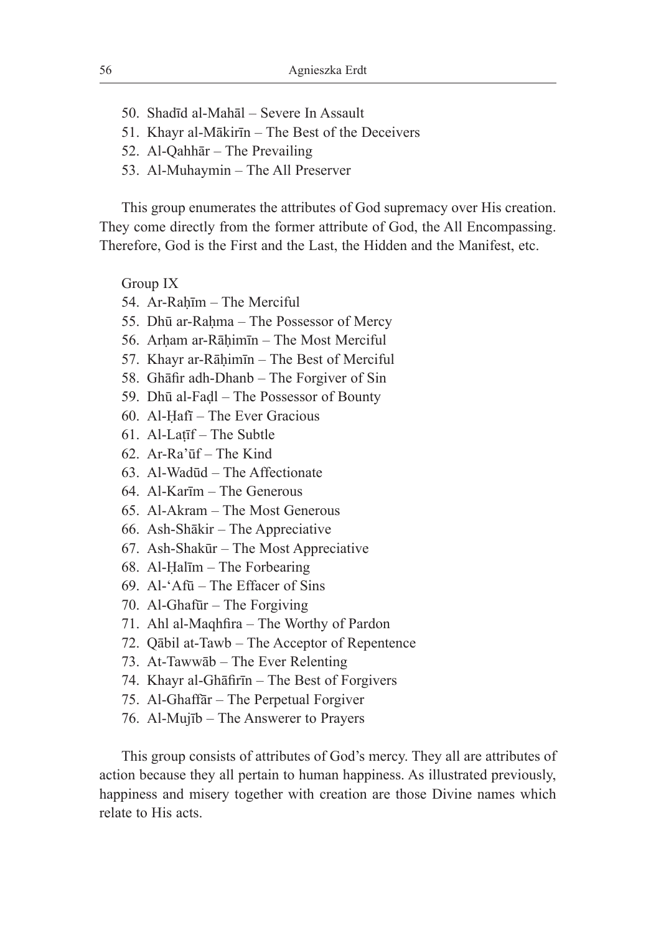- 50. Shadīd al-Mahāl Severe In Assault
- 51. Khayr al-Mākirīn The Best of the Deceivers
- 52. Al-Qahhār The Prevailing
- 53. Al-Muhaymin The All Preserver

This group enumerates the attributes of God supremacy over His creation. They come directly from the former attribute of God, the All Encompassing. Therefore, God is the First and the Last, the Hidden and the Manifest, etc.

Group IX

- 54. Ar-Raḥīm The Merciful
- 55. Dhū ar-Raḥma The Possessor of Mercy
- 56. Arḥam ar-Rāḥimīn The Most Merciful
- 57. Khayr ar-Rāḥimīn The Best of Merciful
- 58. Ghāfir adh-Dhanb The Forgiver of Sin
- 59. Dhū al-Faḍl The Possessor of Bounty
- 60. Al-Ḥafī The Ever Gracious
- 61. Al-Laṭīf The Subtle
- 62. Ar-Ra'ūf The Kind
- 63. Al-Wadūd The Affectionate
- 64. Al-Karīm The Generous
- 65. Al-Akram The Most Generous
- 66. Ash-Shākir The Appreciative
- 67. Ash-Shakūr The Most Appreciative
- 68. Al-Ḥalīm The Forbearing
- 69. Al-'Afū The Effacer of Sins
- 70. Al-Ghafūr The Forgiving
- 71. Ahl al-Maqhfira The Worthy of Pardon
- 72. Qābil at-Tawb The Acceptor of Repentence
- 73. At-Tawwāb The Ever Relenting
- 74. Khayr al-Ghāfirīn The Best of Forgivers
- 75. Al-Ghaffār The Perpetual Forgiver
- 76. Al-Mujīb The Answerer to Prayers

This group consists of attributes of God's mercy. They all are attributes of action because they all pertain to human happiness. As illustrated previously, happiness and misery together with creation are those Divine names which relate to His acts.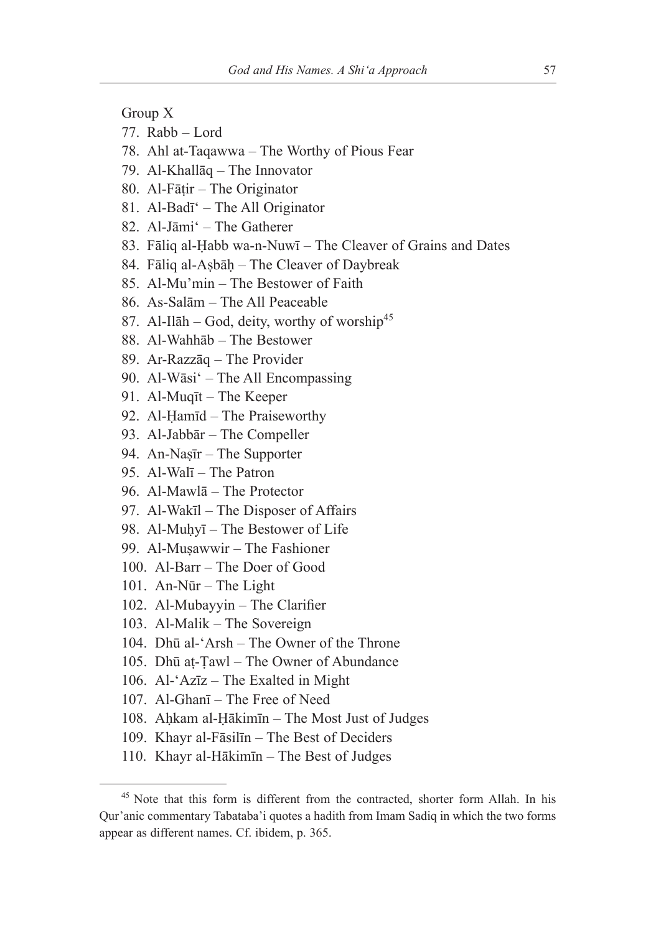Group X

- 77. Rabb Lord
- 78. Ahl at-Taqawwa The Worthy of Pious Fear
- 79. Al-Khallāq The Innovator
- 80. Al-Fāṭir The Originator
- 81. Al-Badī' The All Originator
- 82. Al-Jāmi' The Gatherer
- 83. Fāliq al-Ḥabb wa-n-Nuwī The Cleaver of Grains and Dates
- 84. Fāliq al-Asbāh The Cleaver of Daybreak
- 85. Al-Mu'min The Bestower of Faith
- 86. As-Salām The All Peaceable
- 87. Al-Ilāh God, deity, worthy of worship<sup>45</sup>
- 88. Al-Wahhāb The Bestower
- 89. Ar-Razzāq The Provider
- 90. Al-Wāsi' The All Encompassing
- 91. Al-Muqīt The Keeper
- 92. Al-Ḥamīd The Praiseworthy
- 93. Al-Jabbār The Compeller
- 94. An-Naṣīr The Supporter
- 95. Al-Walī The Patron
- 96. Al-Mawlā The Protector
- 97. Al-Wakīl The Disposer of Affairs
- 98. Al-Muhyī The Bestower of Life
- 99. Al-Muṣawwir The Fashioner
- 100. Al-Barr The Doer of Good
- 101. An-Nūr The Light
- 102. Al-Mubayyin The Clarifier
- 103. Al-Malik The Sovereign
- 104. Dhū al-'Arsh The Owner of the Throne
- 105. Dhū aṭ-Ṭawl The Owner of Abundance
- 106. Al-'Azīz The Exalted in Might
- 107. Al-Ghanī The Free of Need
- 108. Aḥkam al-Ḥākimīn The Most Just of Judges
- 109. Khayr al-Fāsilīn The Best of Deciders
- 110. Khayr al-Hākimīn The Best of Judges

<sup>45</sup> Note that this form is different from the contracted, shorter form Allah. In his Qur'anic commentary Tabataba'i quotes a hadith from Imam Sadiq in which the two forms appear as different names. Cf. ibidem, p. 365.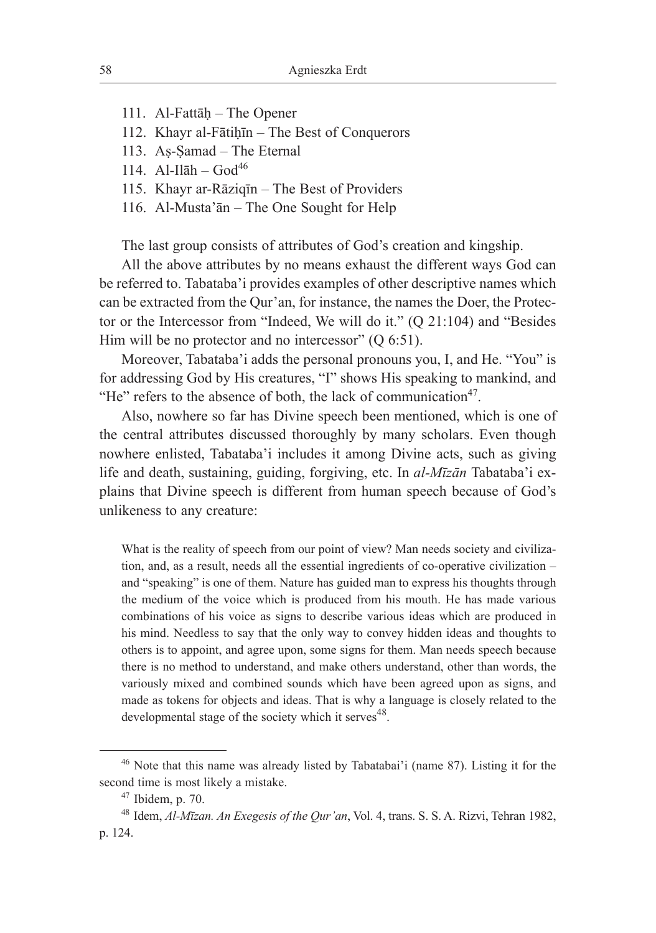- 111. Al-Fattāḥ The Opener
- 112. Khayr al-Fātiḥīn The Best of Conquerors
- 113. Aṣ-Ṣamad The Eternal
- 114.  $Al-Il\bar{a}h God^{46}$
- 115. Khayr ar-Rāziqīn The Best of Providers
- 116. Al-Musta'ān The One Sought for Help

The last group consists of attributes of God's creation and kingship.

All the above attributes by no means exhaust the different ways God can be referred to. Tabataba'i provides examples of other descriptive names which can be extracted from the Qur'an, for instance, the names the Doer, the Protector or the Intercessor from "Indeed, We will do it." (Q 21:104) and "Besides Him will be no protector and no intercessor"  $(Q 6:51)$ .

Moreover, Tabataba'i adds the personal pronouns you, I, and He. "You" is for addressing God by His creatures, "I" shows His speaking to mankind, and "He" refers to the absence of both, the lack of communication $47$ .

Also, nowhere so far has Divine speech been mentioned, which is one of the central attributes discussed thoroughly by many scholars. Even though nowhere enlisted, Tabataba'i includes it among Divine acts, such as giving life and death, sustaining, guiding, forgiving, etc. In *al-Mīzān* Tabataba'i explains that Divine speech is different from human speech because of God's unlikeness to any creature:

What is the reality of speech from our point of view? Man needs society and civilization, and, as a result, needs all the essential ingredients of co-operative civilization – and "speaking" is one of them. Nature has guided man to express his thoughts through the medium of the voice which is produced from his mouth. He has made various combinations of his voice as signs to describe various ideas which are produced in his mind. Needless to say that the only way to convey hidden ideas and thoughts to others is to appoint, and agree upon, some signs for them. Man needs speech because there is no method to understand, and make others understand, other than words, the variously mixed and combined sounds which have been agreed upon as signs, and made as tokens for objects and ideas. That is why a language is closely related to the developmental stage of the society which it serves<sup>48</sup>.

<sup>46</sup> Note that this name was already listed by Tabatabai'i (name 87). Listing it for the second time is most likely a mistake.<br><sup>47</sup> Ibidem, p. 70.

<sup>48</sup> Idem, *Al-Mīzan. An Exegesis of the Qur'an*, Vol. 4, trans. S. S. A. Rizvi, Tehran 1982, p. 124.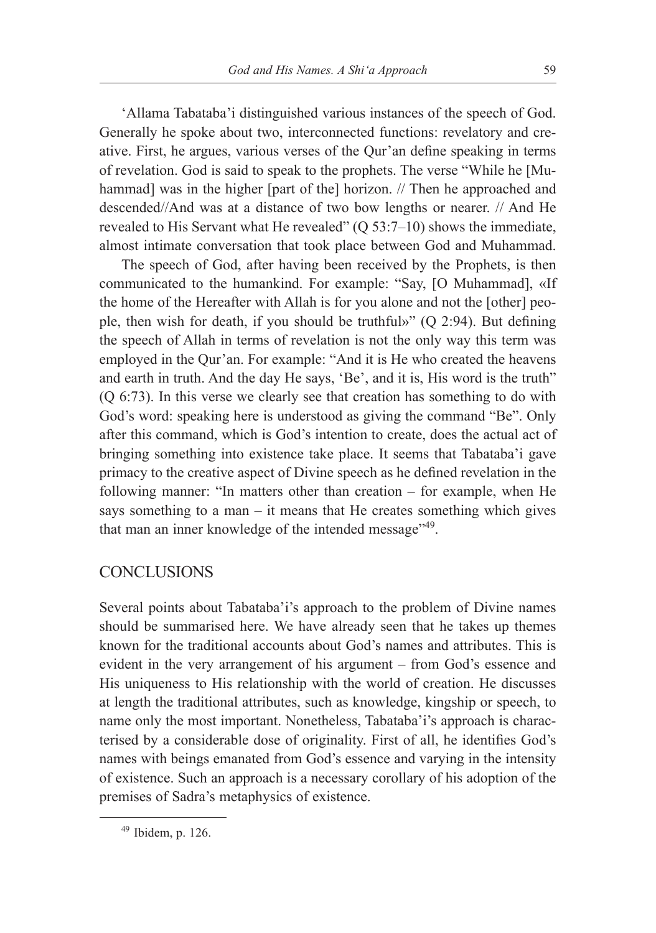'Allama Tabataba'i distinguished various instances of the speech of God. Generally he spoke about two, interconnected functions: revelatory and creative. First, he argues, various verses of the Qur'an define speaking in terms of revelation. God is said to speak to the prophets. The verse "While he [Muhammad] was in the higher [part of the] horizon. // Then he approached and descended//And was at a distance of two bow lengths or nearer. // And He revealed to His Servant what He revealed" (Q 53:7–10) shows the immediate, almost intimate conversation that took place between God and Muhammad.

The speech of God, after having been received by the Prophets, is then communicated to the humankind. For example: "Say, [O Muhammad], «If the home of the Hereafter with Allah is for you alone and not the [other] people, then wish for death, if you should be truthful»" (Q 2:94). But defining the speech of Allah in terms of revelation is not the only way this term was employed in the Qur'an. For example: "And it is He who created the heavens and earth in truth. And the day He says, 'Be', and it is, His word is the truth" (Q 6:73). In this verse we clearly see that creation has something to do with God's word: speaking here is understood as giving the command "Be". Only after this command, which is God's intention to create, does the actual act of bringing something into existence take place. It seems that Tabataba'i gave primacy to the creative aspect of Divine speech as he defined revelation in the following manner: "In matters other than creation – for example, when He says something to a man  $-$  it means that He creates something which gives that man an inner knowledge of the intended message"<sup>49</sup>.

### **CONCLUSIONS**

Several points about Tabataba'i's approach to the problem of Divine names should be summarised here. We have already seen that he takes up themes known for the traditional accounts about God's names and attributes. This is evident in the very arrangement of his argument – from God's essence and His uniqueness to His relationship with the world of creation. He discusses at length the traditional attributes, such as knowledge, kingship or speech, to name only the most important. Nonetheless, Tabataba'i's approach is characterised by a considerable dose of originality. First of all, he identifies God's names with beings emanated from God's essence and varying in the intensity of existence. Such an approach is a necessary corollary of his adoption of the premises of Sadra's metaphysics of existence.

 $49$  Ibidem, p. 126.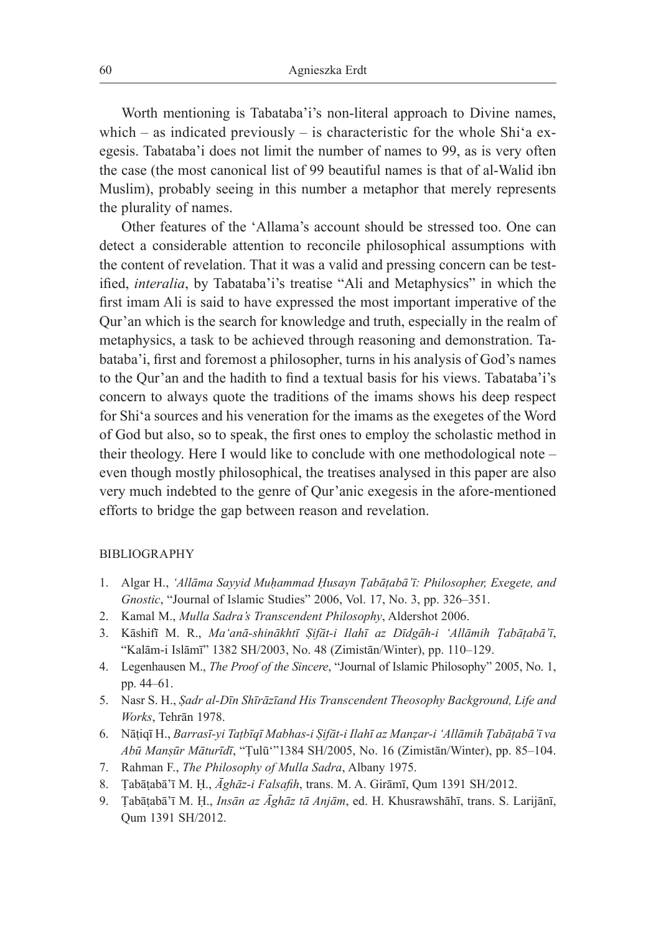Worth mentioning is Tabataba'i's non-literal approach to Divine names, which – as indicated previously – is characteristic for the whole Shi'a exegesis. Tabataba'i does not limit the number of names to 99, as is very often the case (the most canonical list of 99 beautiful names is that of al-Walid ibn Muslim), probably seeing in this number a metaphor that merely represents the plurality of names.

Other features of the 'Allama's account should be stressed too. One can detect a considerable attention to reconcile philosophical assumptions with the content of revelation. That it was a valid and pressing concern can be testified, *interalia*, by Tabataba'i's treatise "Ali and Metaphysics" in which the first imam Ali is said to have expressed the most important imperative of the Qur'an which is the search for knowledge and truth, especially in the realm of metaphysics, a task to be achieved through reasoning and demonstration. Tabataba'i, first and foremost a philosopher, turns in his analysis of God's names to the Qur'an and the hadith to find a textual basis for his views. Tabataba'i's concern to always quote the traditions of the imams shows his deep respect for Shi'a sources and his veneration for the imams as the exegetes of the Word of God but also, so to speak, the first ones to employ the scholastic method in their theology. Here I would like to conclude with one methodological note – even though mostly philosophical, the treatises analysed in this paper are also very much indebted to the genre of Qur'anic exegesis in the afore-mentioned efforts to bridge the gap between reason and revelation.

#### BIBLIOGRAPHY

- 1. Algar H., *'Allāma Sayyid Muḥammad Ḥusayn Ṭabāṭabā'ī: Philosopher, Exegete, and Gnostic*, "Journal of Islamic Studies" 2006, Vol. 17, No. 3, pp. 326–351.
- 2. Kamal M., *Mulla Sadra's Transcendent Philosophy*, Aldershot 2006.
- 3. Kāshifī M. R., *Ma'anā-shinākhtī Ṣifāt-i Ilahī az Dīdgāh-i 'Allāmih Ṭabāṭabā'ī*, "Kalām-i Islāmī" 1382 SH/2003, No. 48 (Zimistān/Winter), pp. 110–129.
- 4. Legenhausen M., *The Proof of the Sincere*, "Journal of Islamic Philosophy" 2005, No. 1, pp. 44–61.
- 5. Nasr S. H., *Ṣadr al-Dīn Shīrāzīand His Transcendent Theosophy Background, Life and Works*, Tehrān 1978.
- 6. Nāṭiqī H., *Barrasī-yi Taṭbīqī Mabhas-i Ṣifāt-i Ilahī az Manẓar-i 'Allāmih Ṭabāṭabā'ī va Abū Manṣūr Māturīdī*, "Ṭulū'"1384 SH/2005, No. 16 (Zimistān/Winter), pp. 85–104.
- 7. Rahman F., *The Philosophy of Mulla Sadra*, Albany 1975.
- 8. Ṭabāṭabā'ī M. Ḥ., *Āghāz-i Falsafih*, trans. M. A. Girāmī, Qum 1391 SH/2012.
- 9. Ṭabāṭabā'ī M. Ḥ., *Insān az Āghāz tā Anjām*, ed. H. Khusrawshāhī, trans. S. Larijānī, Qum 1391 SH/2012.